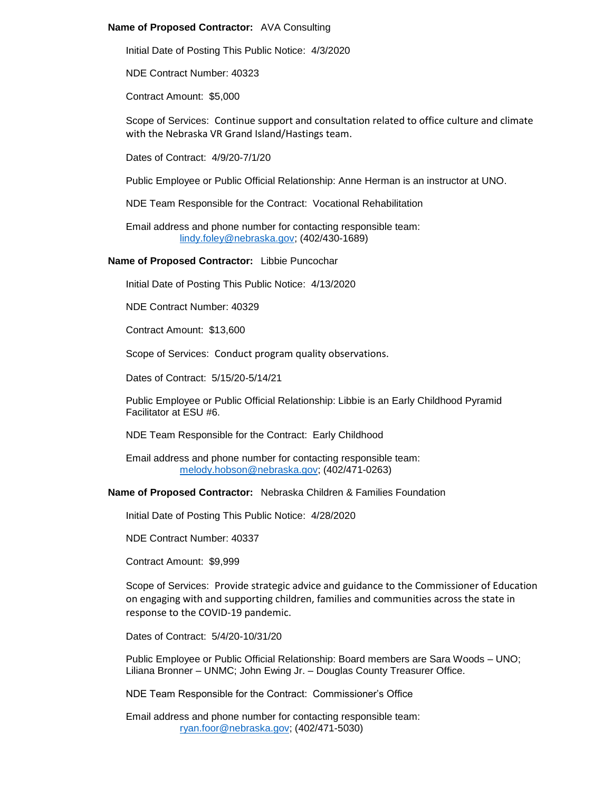## **Name of Proposed Contractor:** AVA Consulting

Initial Date of Posting This Public Notice: 4/3/2020

NDE Contract Number: 40323

Contract Amount: \$5,000

Scope of Services: Continue support and consultation related to office culture and climate with the Nebraska VR Grand Island/Hastings team.

Dates of Contract: 4/9/20-7/1/20

Public Employee or Public Official Relationship: Anne Herman is an instructor at UNO.

NDE Team Responsible for the Contract: Vocational Rehabilitation

Email address and phone number for contacting responsible team: [lindy.foley@nebraska.gov;](mailto:lindy.foley@nebraska.gov) (402/430-1689)

**Name of Proposed Contractor:** Libbie Puncochar

Initial Date of Posting This Public Notice: 4/13/2020

NDE Contract Number: 40329

Contract Amount: \$13,600

Scope of Services: Conduct program quality observations.

Dates of Contract: 5/15/20-5/14/21

Public Employee or Public Official Relationship: Libbie is an Early Childhood Pyramid Facilitator at ESU #6.

NDE Team Responsible for the Contract: Early Childhood

Email address and phone number for contacting responsible team: [melody.hobson@nebraska.gov;](mailto:melody.hobson@nebraska.gov) (402/471-0263)

**Name of Proposed Contractor:** Nebraska Children & Families Foundation

Initial Date of Posting This Public Notice: 4/28/2020

NDE Contract Number: 40337

Contract Amount: \$9,999

Scope of Services: Provide strategic advice and guidance to the Commissioner of Education on engaging with and supporting children, families and communities across the state in response to the COVID-19 pandemic.

Dates of Contract: 5/4/20-10/31/20

Public Employee or Public Official Relationship: Board members are Sara Woods – UNO; Liliana Bronner – UNMC; John Ewing Jr. – Douglas County Treasurer Office.

NDE Team Responsible for the Contract: Commissioner's Office

Email address and phone number for contacting responsible team: [ryan.foor@nebraska.gov;](mailto:ryan.foor@nebraska.gov) (402/471-5030)